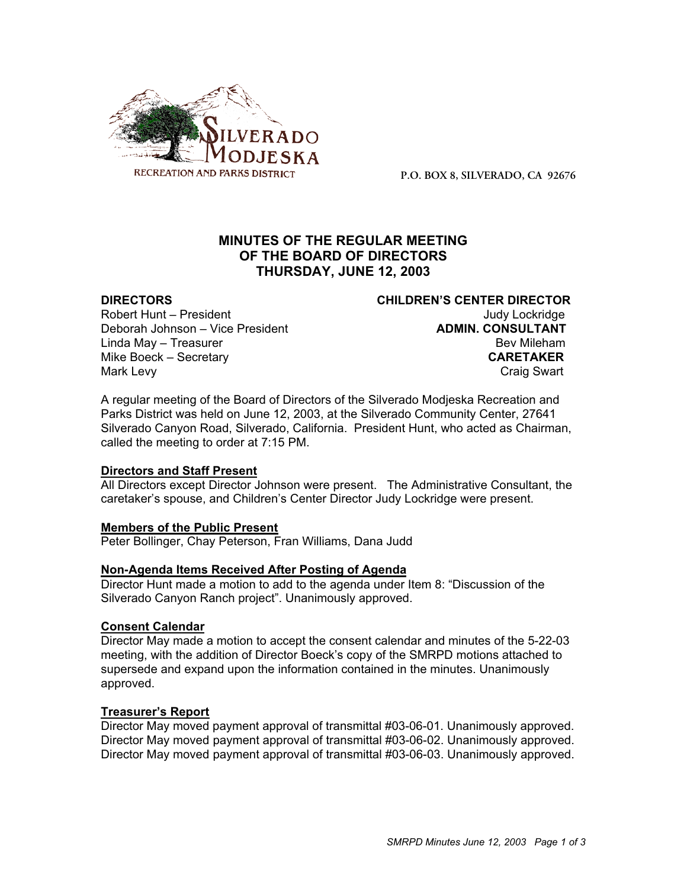

**P.O. BOX 8, SILVERADO, CA 92676**

# **MINUTES OF THE REGULAR MEETING OF THE BOARD OF DIRECTORS THURSDAY, JUNE 12, 2003**

Robert Hunt – President View Controller Controller Controller Controller Judy Lockridge Deborah Johnson – Vice President **ADMIN. CONSULTANT** Linda May – Treasurer Bev Mileham Mike Boeck – Secretary **CARETAKER** Mark Levy **Craig Swart** 

**DIRECTORS CHILDREN'S CENTER DIRECTOR**

A regular meeting of the Board of Directors of the Silverado Modjeska Recreation and Parks District was held on June 12, 2003, at the Silverado Community Center, 27641 Silverado Canyon Road, Silverado, California. President Hunt, who acted as Chairman, called the meeting to order at 7:15 PM.

## **Directors and Staff Present**

All Directors except Director Johnson were present. The Administrative Consultant, the caretaker's spouse, and Children's Center Director Judy Lockridge were present.

## **Members of the Public Present**

Peter Bollinger, Chay Peterson, Fran Williams, Dana Judd

## **Non-Agenda Items Received After Posting of Agenda**

Director Hunt made a motion to add to the agenda under Item 8: "Discussion of the Silverado Canyon Ranch project". Unanimously approved.

## **Consent Calendar**

Director May made a motion to accept the consent calendar and minutes of the 5-22-03 meeting, with the addition of Director Boeck's copy of the SMRPD motions attached to supersede and expand upon the information contained in the minutes. Unanimously approved.

## **Treasurer's Report**

Director May moved payment approval of transmittal #03-06-01. Unanimously approved. Director May moved payment approval of transmittal #03-06-02. Unanimously approved. Director May moved payment approval of transmittal #03-06-03. Unanimously approved.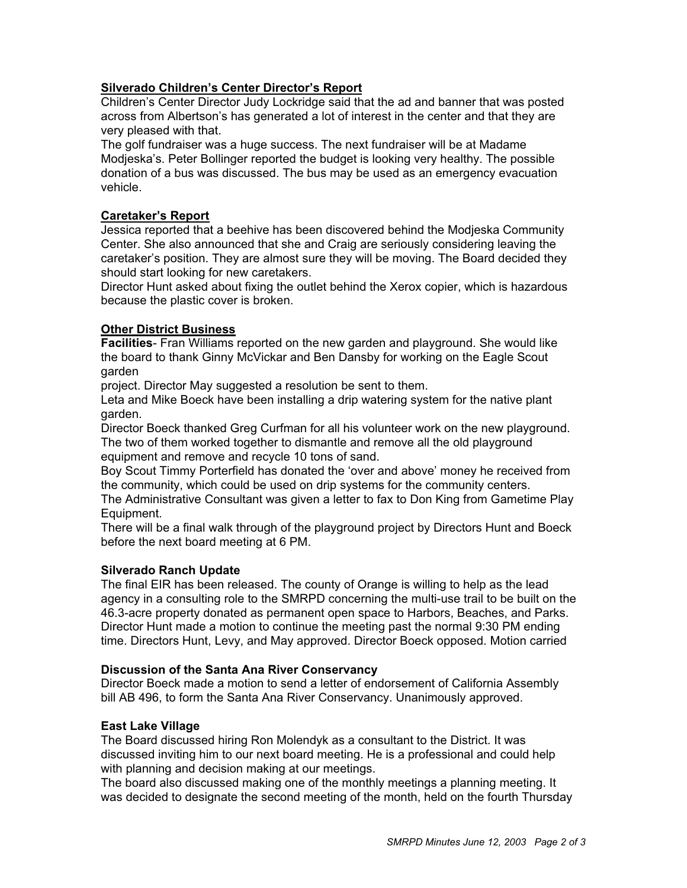## **Silverado Children's Center Director's Report**

Children's Center Director Judy Lockridge said that the ad and banner that was posted across from Albertson's has generated a lot of interest in the center and that they are very pleased with that.

The golf fundraiser was a huge success. The next fundraiser will be at Madame Modjeska's. Peter Bollinger reported the budget is looking very healthy. The possible donation of a bus was discussed. The bus may be used as an emergency evacuation vehicle.

## **Caretaker's Report**

Jessica reported that a beehive has been discovered behind the Modjeska Community Center. She also announced that she and Craig are seriously considering leaving the caretaker's position. They are almost sure they will be moving. The Board decided they should start looking for new caretakers.

Director Hunt asked about fixing the outlet behind the Xerox copier, which is hazardous because the plastic cover is broken.

## **Other District Business**

**Facilities**- Fran Williams reported on the new garden and playground. She would like the board to thank Ginny McVickar and Ben Dansby for working on the Eagle Scout garden

project. Director May suggested a resolution be sent to them.

Leta and Mike Boeck have been installing a drip watering system for the native plant garden.

Director Boeck thanked Greg Curfman for all his volunteer work on the new playground. The two of them worked together to dismantle and remove all the old playground equipment and remove and recycle 10 tons of sand.

Boy Scout Timmy Porterfield has donated the 'over and above' money he received from the community, which could be used on drip systems for the community centers.

The Administrative Consultant was given a letter to fax to Don King from Gametime Play Equipment.

There will be a final walk through of the playground project by Directors Hunt and Boeck before the next board meeting at 6 PM.

## **Silverado Ranch Update**

The final EIR has been released. The county of Orange is willing to help as the lead agency in a consulting role to the SMRPD concerning the multi-use trail to be built on the 46.3-acre property donated as permanent open space to Harbors, Beaches, and Parks. Director Hunt made a motion to continue the meeting past the normal 9:30 PM ending time. Directors Hunt, Levy, and May approved. Director Boeck opposed. Motion carried

## **Discussion of the Santa Ana River Conservancy**

Director Boeck made a motion to send a letter of endorsement of California Assembly bill AB 496, to form the Santa Ana River Conservancy. Unanimously approved.

## **East Lake Village**

The Board discussed hiring Ron Molendyk as a consultant to the District. It was discussed inviting him to our next board meeting. He is a professional and could help with planning and decision making at our meetings.

The board also discussed making one of the monthly meetings a planning meeting. It was decided to designate the second meeting of the month, held on the fourth Thursday